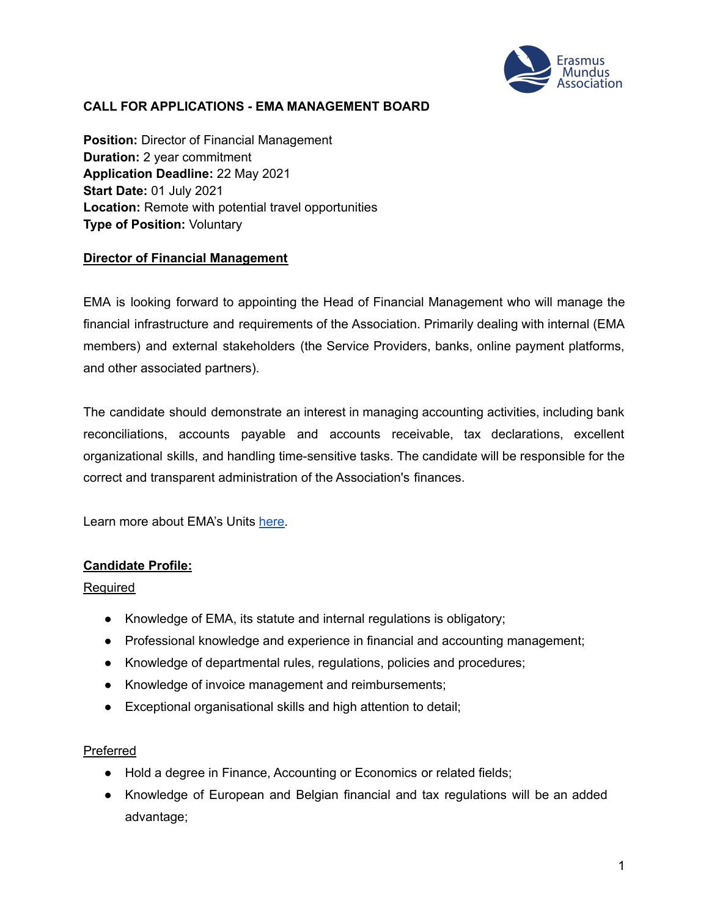

## **CALL FOR APPLICATIONS - EMA MANAGEMENT BOARD**

**Position:** Director of Financial Management **Duration:** 2 year commitment **Application Deadline:** 22 May 2021 **Start Date:** 01 July 2021 **Location:** Remote with potential travel opportunities **Type of Position:** Voluntary

### **Director of Financial Management**

EMA is looking forward to appointing the Head of Financial Management who will manage the financial infrastructure and requirements of the Association. Primarily dealing with internal (EMA members) and external stakeholders (the Service Providers, banks, online payment platforms, and other associated partners).

The candidate should demonstrate an interest in managing accounting activities, including bank reconciliations, accounts payable and accounts receivable, tax declarations, excellent organizational skills, and handling time-sensitive tasks. The candidate will be responsible for the correct and transparent administration of the Association's finances.

Learn more about EMA's Units [here.](https://www.em-a.eu/structure-and-history)

### **Candidate Profile:**

#### Required

- Knowledge of EMA, its statute and internal regulations is obligatory;
- Professional knowledge and experience in financial and accounting management;
- Knowledge of departmental rules, regulations, policies and procedures;
- Knowledge of invoice management and reimbursements;
- Exceptional organisational skills and high attention to detail;

#### Preferred

- Hold a degree in Finance, Accounting or Economics or related fields;
- Knowledge of European and Belgian financial and tax regulations will be an added advantage;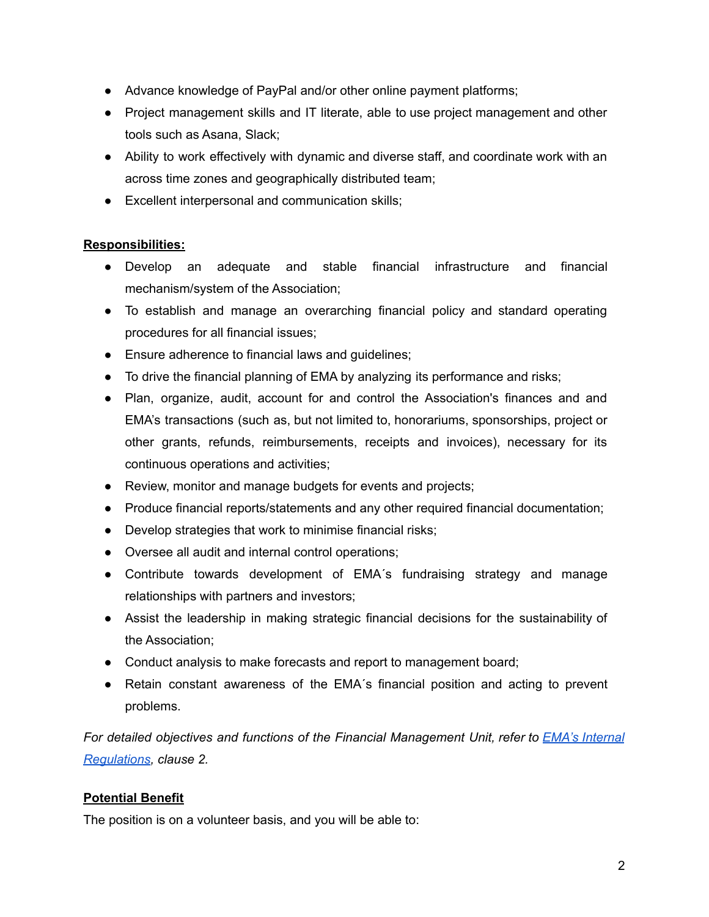- Advance knowledge of PayPal and/or other online payment platforms;
- Project management skills and IT literate, able to use project management and other tools such as Asana, Slack;
- Ability to work effectively with dynamic and diverse staff, and coordinate work with an across time zones and geographically distributed team;
- Excellent interpersonal and communication skills;

# **Responsibilities:**

- Develop an adequate and stable financial infrastructure and financial mechanism/system of the Association;
- To establish and manage an overarching financial policy and standard operating procedures for all financial issues;
- Ensure adherence to financial laws and guidelines;
- To drive the financial planning of EMA by analyzing its performance and risks;
- Plan, organize, audit, account for and control the Association's finances and and EMA's transactions (such as, but not limited to, honorariums, sponsorships, project or other grants, refunds, reimbursements, receipts and invoices), necessary for its continuous operations and activities;
- Review, monitor and manage budgets for events and projects;
- Produce financial reports/statements and any other required financial documentation;
- Develop strategies that work to minimise financial risks;
- Oversee all audit and internal control operations;
- Contribute towards development of EMA´s fundraising strategy and manage relationships with partners and investors;
- Assist the leadership in making strategic financial decisions for the sustainability of the Association;
- Conduct analysis to make forecasts and report to management board;
- Retain constant awareness of the EMA´s financial position and acting to prevent problems.

*For detailed objectives and functions of the Financial Management Unit, refer to EMA's [Internal](https://www.em-a.eu/documents) [Regulations](https://www.em-a.eu/documents), clause 2.*

# **Potential Benefit**

The position is on a volunteer basis, and you will be able to: